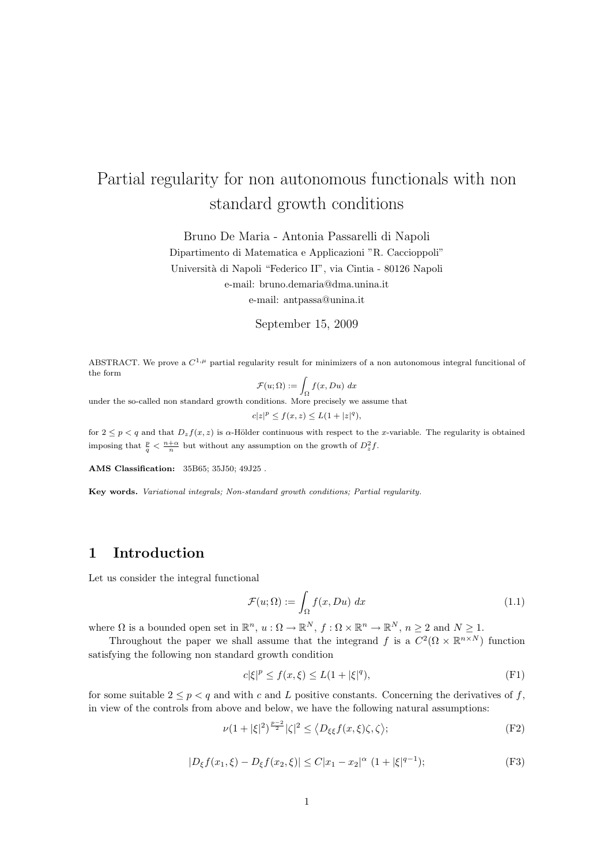# Partial regularity for non autonomous functionals with non standard growth conditions

Bruno De Maria - Antonia Passarelli di Napoli

Dipartimento di Matematica e Applicazioni "R. Caccioppoli" Universit`a di Napoli "Federico II", via Cintia - 80126 Napoli e-mail: bruno.demaria@dma.unina.it

e-mail: antpassa@unina.it

### September 15, 2009

ABSTRACT. We prove a  $C^{1,\mu}$  partial regularity result for minimizers of a non autonomous integral funcitional of the form

$$
\mathcal{F}(u; \Omega) := \int_{\Omega} f(x, Du) \, dx
$$

 $J_{\Omega}$ <br>under the so-called non standard growth conditions. More precisely we assume that

$$
c|z|^p \le f(x, z) \le L(1 + |z|^q),
$$

for  $2 \le p < q$  and that  $D_z f(x, z)$  is  $\alpha$ -Hölder continuous with respect to the x-variable. The regularity is obtained imposing that  $\frac{p}{q} < \frac{n+\alpha}{n}$  but without any assumption on the growth of  $D_z^2 f$ .

AMS Classification: 35B65; 35J50; 49J25 .

Key words. Variational integrals; Non-standard growth conditions; Partial regularity.

### 1 Introduction

Let us consider the integral functional

$$
\mathcal{F}(u; \Omega) := \int_{\Omega} f(x, Du) \, dx \tag{1.1}
$$

where  $\Omega$  is a bounded open set in  $\mathbb{R}^n$ ,  $u : \Omega \to \mathbb{R}^N$ ,  $f : \Omega \times \mathbb{R}^n \to \mathbb{R}^N$ ,  $n \geq 2$  and  $N \geq 1$ .

Throughout the paper we shall assume that the integrand f is a  $C^2(\Omega \times \mathbb{R}^{n \times N})$  function satisfying the following non standard growth condition

$$
c|\xi|^p \le f(x,\xi) \le L(1+|\xi|^q),\tag{F1}
$$

for some suitable  $2 \leq p < q$  and with c and L positive constants. Concerning the derivatives of f, in view of the controls from above and below, we have the following natural assumptions:

$$
\nu(1+|\xi|^2)^{\frac{p-2}{2}}|\zeta|^2 \le \langle D_{\xi\xi}f(x,\xi)\zeta,\zeta\rangle; \tag{F2}
$$

$$
|D_{\xi}f(x_1,\xi) - D_{\xi}f(x_2,\xi)| \le C|x_1 - x_2|^{\alpha} (1 + |\xi|^{q-1});
$$
 (F3)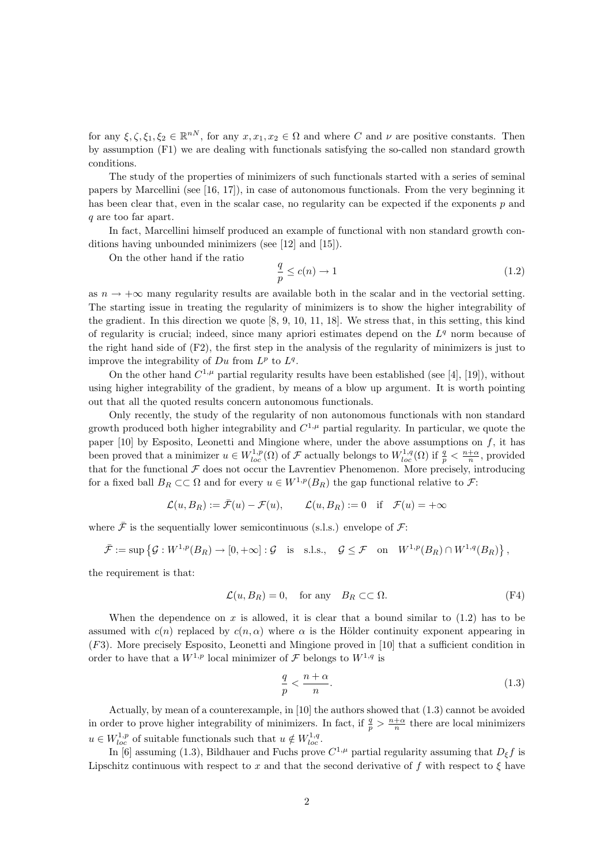for any  $\xi, \zeta, \xi_1, \xi_2 \in \mathbb{R}^{nN}$ , for any  $x, x_1, x_2 \in \Omega$  and where C and  $\nu$  are positive constants. Then by assumption (F1) we are dealing with functionals satisfying the so-called non standard growth conditions.

The study of the properties of minimizers of such functionals started with a series of seminal papers by Marcellini (see [16, 17]), in case of autonomous functionals. From the very beginning it has been clear that, even in the scalar case, no regularity can be expected if the exponents p and q are too far apart.

In fact, Marcellini himself produced an example of functional with non standard growth conditions having unbounded minimizers (see [12] and [15]).

On the other hand if the ratio

$$
\frac{q}{p} \le c(n) \to 1\tag{1.2}
$$

as  $n \to +\infty$  many regularity results are available both in the scalar and in the vectorial setting. The starting issue in treating the regularity of minimizers is to show the higher integrability of the gradient. In this direction we quote [8, 9, 10, 11, 18]. We stress that, in this setting, this kind of regularity is crucial; indeed, since many apriori estimates depend on the  $L<sup>q</sup>$  norm because of the right hand side of  $(F2)$ , the first step in the analysis of the regularity of minimizers is just to improve the integrability of  $Du$  from  $L^p$  to  $L^q$ .

On the other hand  $C^{1,\mu}$  partial regularity results have been established (see [4], [19]), without using higher integrability of the gradient, by means of a blow up argument. It is worth pointing out that all the quoted results concern autonomous functionals.

Only recently, the study of the regularity of non autonomous functionals with non standard growth produced both higher integrability and  $C^{1,\mu}$  partial regularity. In particular, we quote the paper  $[10]$  by Esposito, Leonetti and Mingione where, under the above assumptions on  $f$ , it has been proved that a minimizer  $u \in W^{1,p}_{loc}(\Omega)$  of  $\mathcal F$  actually belongs to  $W^{1,q}_{loc}(\Omega)$  if  $\frac{q}{p} < \frac{n+\alpha}{n}$ , provided that for the functional  $\mathcal F$  does not occur the Lavrentiev Phenomenon. More precisely, introducing for a fixed ball  $B_R \subset\subset \Omega$  and for every  $u \in W^{1,p}(B_R)$  the gap functional relative to  $\mathcal{F}$ :

$$
\mathcal{L}(u, B_R) := \bar{\mathcal{F}}(u) - \mathcal{F}(u), \qquad \mathcal{L}(u, B_R) := 0 \quad \text{if} \quad \mathcal{F}(u) = +\infty
$$

where  $\bar{\mathcal{F}}$  is the sequentially lower semicontinuous (s.l.s.) envelope of  $\mathcal{F}$ :

$$
\bar{\mathcal{F}} := \sup \left\{ \mathcal{G} : W^{1,p}(B_R) \to [0, +\infty] : \mathcal{G} \quad \text{is s.l.s.,} \quad \mathcal{G} \leq \mathcal{F} \quad \text{on} \quad W^{1,p}(B_R) \cap W^{1,q}(B_R) \right\},
$$

the requirement is that:

$$
\mathcal{L}(u, B_R) = 0, \quad \text{for any} \quad B_R \subset\subset \Omega. \tag{F4}
$$

When the dependence on  $x$  is allowed, it is clear that a bound similar to  $(1.2)$  has to be assumed with  $c(n)$  replaced by  $c(n, \alpha)$  where  $\alpha$  is the Hölder continuity exponent appearing in (F3). More precisely Esposito, Leonetti and Mingione proved in [10] that a sufficient condition in order to have that a  $W^{1,p}$  local minimizer of  $\mathcal F$  belongs to  $W^{1,q}$  is

$$
\frac{q}{p} < \frac{n+\alpha}{n}.\tag{1.3}
$$

Actually, by mean of a counterexample, in [10] the authors showed that (1.3) cannot be avoided in order to prove higher integrability of minimizers. In fact, if  $\frac{q}{p} > \frac{n+\alpha}{n}$  there are local minimizers  $u \in W^{1,p}_{loc}$  of suitable functionals such that  $u \notin W^{1,q}_{loc}$ .

In [6] assuming (1.3), Bildhauer and Fuchs prove  $C^{1,\mu}$  partial regularity assuming that  $D_{\xi}f$  is Lipschitz continuous with respect to x and that the second derivative of f with respect to  $\xi$  have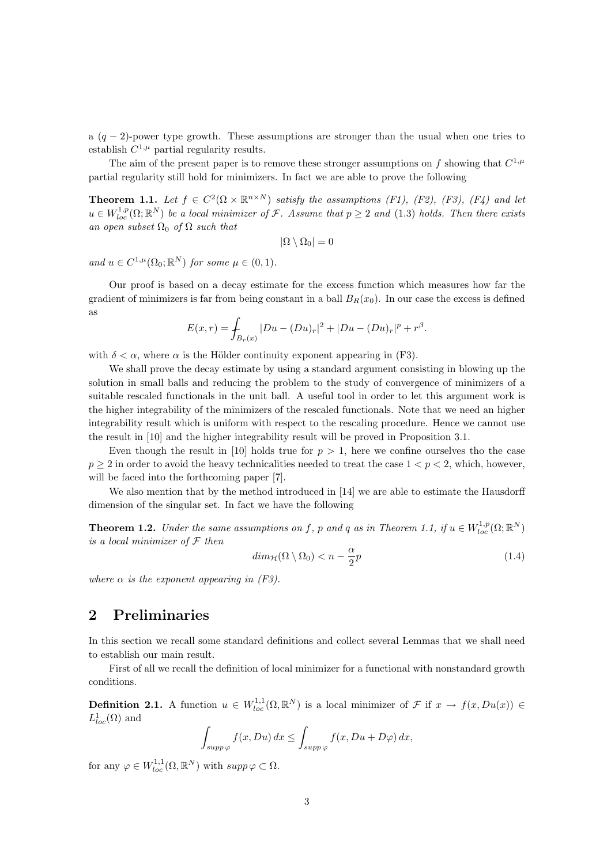a  $(q-2)$ -power type growth. These assumptions are stronger than the usual when one tries to establish  $C^{1,\mu}$  partial regularity results.

The aim of the present paper is to remove these stronger assumptions on f showing that  $C^{1,\mu}$ partial regularity still hold for minimizers. In fact we are able to prove the following

**Theorem 1.1.** Let  $f \in C^2(\Omega \times \mathbb{R}^{n \times N})$  satisfy the assumptions (F1), (F2), (F3), (F4) and let  $u \in W_{loc}^{1,p}(\Omega;\mathbb{R}^N)$  be a local minimizer of F. Assume that  $p \geq 2$  and  $(1.3)$  holds. Then there exists an open subset  $\Omega_0$  of  $\Omega$  such that

$$
|\Omega \setminus \Omega_0| = 0
$$

and  $u \in C^{1,\mu}(\Omega_0; \mathbb{R}^N)$  for some  $\mu \in (0,1)$ .

Our proof is based on a decay estimate for the excess function which measures how far the gradient of minimizers is far from being constant in a ball  $B_R(x_0)$ . In our case the excess is defined as

$$
E(x,r) = \int_{B_r(x)} |Du - (Du)_r|^2 + |Du - (Du)_r|^p + r^{\beta}.
$$

with  $\delta < \alpha$ , where  $\alpha$  is the Hölder continuity exponent appearing in (F3).

We shall prove the decay estimate by using a standard argument consisting in blowing up the solution in small balls and reducing the problem to the study of convergence of minimizers of a suitable rescaled functionals in the unit ball. A useful tool in order to let this argument work is the higher integrability of the minimizers of the rescaled functionals. Note that we need an higher integrability result which is uniform with respect to the rescaling procedure. Hence we cannot use the result in [10] and the higher integrability result will be proved in Proposition 3.1.

Even though the result in [10] holds true for  $p > 1$ , here we confine ourselves tho the case  $p \geq 2$  in order to avoid the heavy technicalities needed to treat the case  $1 < p < 2$ , which, however, will be faced into the forthcoming paper [7].

We also mention that by the method introduced in [14] we are able to estimate the Hausdorff dimension of the singular set. In fact we have the following

**Theorem 1.2.** Under the same assumptions on f, p and q as in Theorem 1.1, if  $u \in W^{1,p}_{loc}(\Omega;\mathbb{R}^N)$ is a local minimizer of  $\mathcal F$  then

$$
dim_{\mathcal{H}}(\Omega \setminus \Omega_0) < n - \frac{\alpha}{2}p \tag{1.4}
$$

where  $\alpha$  is the exponent appearing in (F3).

### 2 Preliminaries

In this section we recall some standard definitions and collect several Lemmas that we shall need to establish our main result.

First of all we recall the definition of local minimizer for a functional with nonstandard growth conditions.

**Definition 2.1.** A function  $u \in W_{loc}^{1,1}(\Omega, \mathbb{R}^N)$  is a local minimizer of  $\mathcal F$  if  $x \to f(x, Du(x)) \in$  $L^1_{loc}(\Omega)$  and

$$
\int_{supp\,\varphi} f(x,Du) \, dx \le \int_{supp\,\varphi} f(x,Du+D\varphi) \, dx,
$$

for any  $\varphi \in W_{loc}^{1,1}(\Omega,\mathbb{R}^N)$  with  $supp \varphi \subset \Omega$ .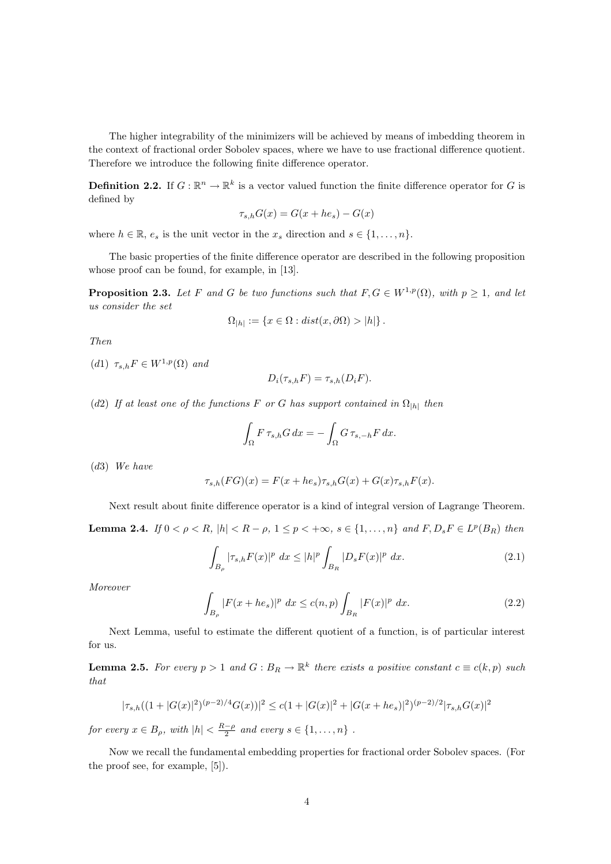The higher integrability of the minimizers will be achieved by means of imbedding theorem in the context of fractional order Sobolev spaces, where we have to use fractional difference quotient. Therefore we introduce the following finite difference operator.

**Definition 2.2.** If  $G : \mathbb{R}^n \to \mathbb{R}^k$  is a vector valued function the finite difference operator for G is defined by

$$
\tau_{s,h}G(x) = G(x + he_s) - G(x)
$$

where  $h \in \mathbb{R}$ ,  $e_s$  is the unit vector in the  $x_s$  direction and  $s \in \{1, \ldots, n\}$ .

The basic properties of the finite difference operator are described in the following proposition whose proof can be found, for example, in [13].

**Proposition 2.3.** Let F and G be two functions such that  $F, G \in W^{1,p}(\Omega)$ , with  $p \geq 1$ , and let us consider the set

$$
\Omega_{|h|} := \{ x \in \Omega : dist(x, \partial \Omega) > |h| \}.
$$

Then

(d1)  $\tau_{s,h}F \in W^{1,p}(\Omega)$  and

$$
D_i(\tau_{s,h}F) = \tau_{s,h}(D_iF).
$$

(d2) If at least one of the functions F or G has support contained in  $\Omega_{h}$  then

$$
\int_{\Omega} F \,\tau_{s,h} G \,dx = -\int_{\Omega} G \,\tau_{s,-h} F \,dx.
$$

(d3) We have

$$
\tau_{s,h}(FG)(x) = F(x + he_s)\tau_{s,h}G(x) + G(x)\tau_{s,h}F(x).
$$

Next result about finite difference operator is a kind of integral version of Lagrange Theorem. **Lemma 2.4.** If  $0 < \rho < R$ ,  $|h| < R - \rho$ ,  $1 \le p < +\infty$ ,  $s \in \{1, ..., n\}$  and  $F, D_s F \in L^p(B_R)$  then

$$
\int_{B_{\rho}} |\tau_{s,h} F(x)|^p \ dx \le |h|^p \int_{B_R} |D_s F(x)|^p \ dx.
$$
\n(2.1)

Moreover

$$
\int_{B_{\rho}} |F(x+he_s)|^p \ dx \le c(n,p) \int_{B_R} |F(x)|^p \ dx.
$$
\n(2.2)

Next Lemma, useful to estimate the different quotient of a function, is of particular interest for us.

**Lemma 2.5.** For every  $p > 1$  and  $G : B_R \to \mathbb{R}^k$  there exists a positive constant  $c \equiv c(k, p)$  such that

$$
|\tau_{s,h}((1+|G(x)|^2)^{(p-2)/4}G(x))|^2 \le c(1+|G(x)|^2+|G(x+he_s)|^2)^{(p-2)/2}|\tau_{s,h}G(x)|^2
$$

for every  $x \in B_\rho$ , with  $|h| < \frac{R-\rho}{2}$  and every  $s \in \{1, \ldots, n\}$ .

Now we recall the fundamental embedding properties for fractional order Sobolev spaces. (For the proof see, for example, [5]).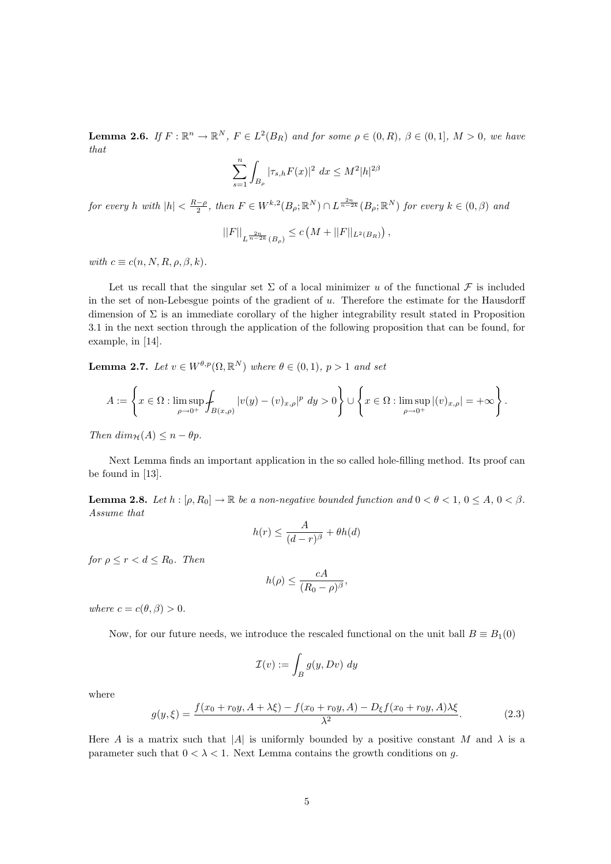**Lemma 2.6.** If  $F: \mathbb{R}^n \to \mathbb{R}^N$ ,  $F \in L^2(B_R)$  and for some  $\rho \in (0, R)$ ,  $\beta \in (0, 1]$ ,  $M > 0$ , we have that

$$
\sum_{s=1}^{n} \int_{B_{\rho}} |\tau_{s,h} F(x)|^2 \ dx \le M^2 |h|^{2\beta}
$$

for every h with  $|h| < \frac{R-\rho}{2}$ , then  $F \in W^{k,2}(B_\rho;\mathbb{R}^N) \cap L^{\frac{2n}{n-2k}}(B_\rho;\mathbb{R}^N)$  for every  $k \in (0,\beta)$  and

$$
||F||_{L^{\frac{2n}{n-2k}}(B_{\rho})} \leq c\left(M + ||F||_{L^{2}(B_{R})}\right),
$$

with  $c \equiv c(n, N, R, \rho, \beta, k)$ .

Let us recall that the singular set  $\Sigma$  of a local minimizer u of the functional  $\mathcal F$  is included in the set of non-Lebesgue points of the gradient of  $u$ . Therefore the estimate for the Hausdorff dimension of  $\Sigma$  is an immediate corollary of the higher integrability result stated in Proposition 3.1 in the next section through the application of the following proposition that can be found, for example, in [14].

**Lemma 2.7.** Let  $v \in W^{\theta,p}(\Omega,\mathbb{R}^N)$  where  $\theta \in (0,1), p > 1$  and set

$$
A:=\left\{x\in \Omega: \limsup_{\rho\to 0^+}\int_{B(x,\rho)}|v(y)-(v)_{x,\rho}|^p~dy>0\right\}\cup\left\{x\in \Omega: \limsup_{\rho\to 0^+}|(v)_{x,\rho}|=+\infty\right\}.
$$

Then  $dim_{\mathcal{H}}(A) \leq n - \theta p$ .

Next Lemma finds an important application in the so called hole-filling method. Its proof can be found in [13].

**Lemma 2.8.** Let  $h : [\rho, R_0] \to \mathbb{R}$  be a non-negative bounded function and  $0 < \theta < 1$ ,  $0 \le A$ ,  $0 < \beta$ . Assume that

$$
h(r) \le \frac{A}{(d-r)^{\beta}} + \theta h(d)
$$

for  $\rho \le r < d \le R_0$ . Then

$$
h(\rho) \le \frac{cA}{(R_0 - \rho)^{\beta}},
$$

where  $c = c(\theta, \beta) > 0$ .

Now, for our future needs, we introduce the rescaled functional on the unit ball  $B \equiv B_1(0)$ 

$$
\mathcal{I}(v) := \int_B g(y, Dv) \ dy
$$

where

$$
g(y,\xi) = \frac{f(x_0 + r_0y, A + \lambda\xi) - f(x_0 + r_0y, A) - D_{\xi}f(x_0 + r_0y, A)\lambda\xi}{\lambda^2}.
$$
 (2.3)

Here A is a matrix such that |A| is uniformly bounded by a positive constant M and  $\lambda$  is a parameter such that  $0 < \lambda < 1$ . Next Lemma contains the growth conditions on g.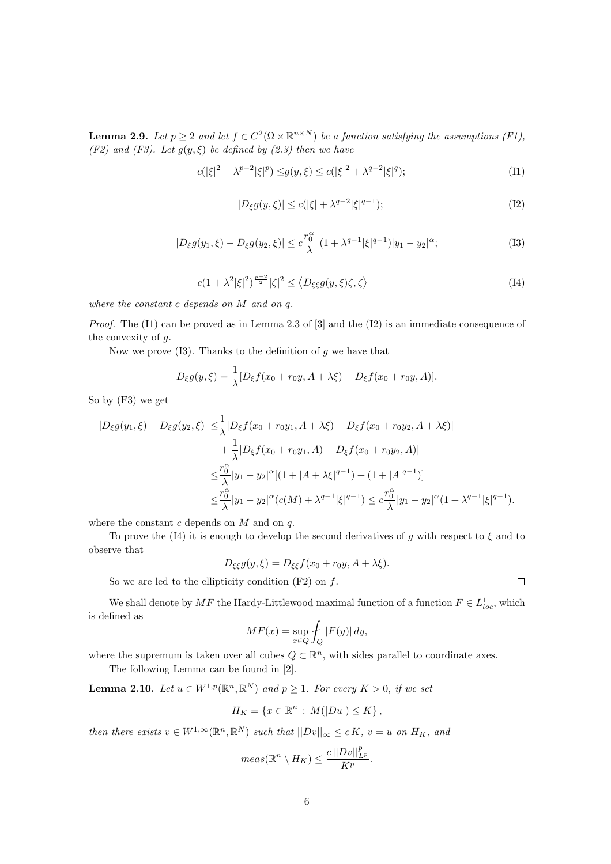**Lemma 2.9.** Let  $p \geq 2$  and let  $f \in C^2(\Omega \times \mathbb{R}^{n \times N})$  be a function satisfying the assumptions (F1), (F2) and (F3). Let  $g(y, \xi)$  be defined by (2.3) then we have

$$
c(|\xi|^2 + \lambda^{p-2}|\xi|^p) \le g(y,\xi) \le c(|\xi|^2 + \lambda^{q-2}|\xi|^q); \tag{I1}
$$

$$
|D_{\xi}g(y,\xi)| \le c(|\xi| + \lambda^{q-2}|\xi|^{q-1});\tag{I2}
$$

$$
|D_{\xi}g(y_1,\xi) - D_{\xi}g(y_2,\xi)| \leq c\frac{r_0^{\alpha}}{\lambda} \ (1 + \lambda^{q-1}|\xi|^{q-1})|y_1 - y_2|^{\alpha};\tag{I3}
$$

$$
c(1+\lambda^2|\xi|^2)^{\frac{p-2}{2}}|\zeta|^2 \le \langle D_{\xi\xi}g(y,\xi)\zeta,\zeta\rangle \tag{I4}
$$

where the constant c depends on M and on q.

*Proof.* The  $(11)$  can be proved as in Lemma 2.3 of  $[3]$  and the  $(12)$  is an immediate consequence of the convexity of g.

Now we prove  $(13)$ . Thanks to the definition of g we have that

$$
D_{\xi}g(y,\xi) = \frac{1}{\lambda}[D_{\xi}f(x_0 + r_0y, A + \lambda\xi) - D_{\xi}f(x_0 + r_0y, A)].
$$

So by (F3) we get

$$
|D_{\xi}g(y_{1},\xi)-D_{\xi}g(y_{2},\xi)| \leq \frac{1}{\lambda}|D_{\xi}f(x_{0}+r_{0}y_{1},A+\lambda\xi)-D_{\xi}f(x_{0}+r_{0}y_{2},A+\lambda\xi)|
$$
  
+ 
$$
\frac{1}{\lambda}|D_{\xi}f(x_{0}+r_{0}y_{1},A)-D_{\xi}f(x_{0}+r_{0}y_{2},A)|
$$
  

$$
\leq \frac{r_{0}^{\alpha}}{\lambda}|y_{1}-y_{2}|^{\alpha}[(1+|A+\lambda\xi|^{q-1})+(1+|A|^{q-1})]
$$
  

$$
\leq \frac{r_{0}^{\alpha}}{\lambda}|y_{1}-y_{2}|^{\alpha}(c(M)+\lambda^{q-1}|\xi|^{q-1}) \leq c\frac{r_{0}^{\alpha}}{\lambda}|y_{1}-y_{2}|^{\alpha}(1+\lambda^{q-1}|\xi|^{q-1}).
$$

where the constant  $c$  depends on  $M$  and on  $q$ .

To prove the (I4) it is enough to develop the second derivatives of q with respect to  $\xi$  and to observe that

 $D_{\xi\xi}g(y,\xi) = D_{\xi\xi}f(x_0+r_0y, A+\lambda\xi).$ 

So we are led to the ellipticity condition  $(F2)$  on  $f$ .

We shall denote by  $MF$  the Hardy-Littlewood maximal function of a function  $F \in L^1_{loc}$ , which is defined as

$$
MF(x) = \sup_{x \in Q} \int_Q |F(y)| dy,
$$

where the supremum is taken over all cubes  $Q \subset \mathbb{R}^n$ , with sides parallel to coordinate axes.

The following Lemma can be found in [2].

**Lemma 2.10.** Let  $u \in W^{1,p}(\mathbb{R}^n, \mathbb{R}^N)$  and  $p \ge 1$ . For every  $K > 0$ , if we set

$$
H_K = \{ x \in \mathbb{R}^n : M(|Du|) \le K \},
$$

then there exists  $v \in W^{1,\infty}(\mathbb{R}^n, \mathbb{R}^N)$  such that  $||Dv||_{\infty} \leq c K$ ,  $v = u$  on  $H_K$ , and

$$
meas(\mathbb{R}^n \setminus H_K) \leq \frac{c||Dv||^p_{L^p}}{K^p}.
$$

 $\Box$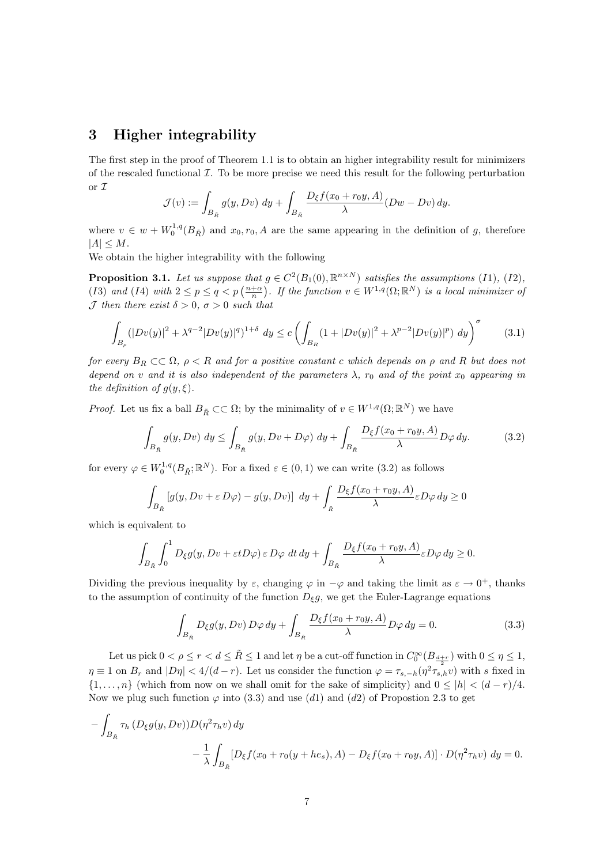## 3 Higher integrability

The first step in the proof of Theorem 1.1 is to obtain an higher integrability result for minimizers of the rescaled functional  $\mathcal I$ . To be more precise we need this result for the following perturbation or I

$$
\mathcal{J}(v) := \int_{B_{\tilde{R}}} g(y, Dv) \, dy + \int_{B_{\tilde{R}}} \frac{D_{\xi} f(x_0 + r_0 y, A)}{\lambda} (Dw - Dv) \, dy.
$$

where  $v \in w + W_0^{1,q}(B_{\tilde{R}})$  and  $x_0, r_0, A$  are the same appearing in the definition of g, therefore  $|A| \leq M$ .

We obtain the higher integrability with the following

**Proposition 3.1.** Let us suppose that  $g \in C^2(B_1(0), \mathbb{R}^{n \times N})$  satisfies the assumptions (I1), (I2), (*I3*) and (*I4*) with  $2 \le p \le q < p$  ( $\frac{n+\alpha}{n}$ )  $g \in C$  ( $D_1(\sigma), \mathbb{R}$ ) subspect the assumptions (11), (12),<br>i. If the function  $v \in W^{1,q}(\Omega; \mathbb{R}^N)$  is a local minimizer of  $\mathcal J$  then there exist  $\delta > 0$ ,  $\sigma > 0$  such that

$$
\int_{B_{\rho}} (|Dv(y)|^2 + \lambda^{q-2} |Dv(y)|^q)^{1+\delta} dy \le c \left( \int_{B_R} (1 + |Dv(y)|^2 + \lambda^{p-2} |Dv(y)|^p) dy \right)^{\sigma}
$$
(3.1)

for every  $B_R \subset\subset \Omega$ ,  $\rho < R$  and for a positive constant c which depends on  $\rho$  and R but does not depend on v and it is also independent of the parameters  $\lambda$ ,  $r_0$  and of the point  $x_0$  appearing in the definition of  $g(y,\xi)$ .

*Proof.* Let us fix a ball  $B_{\tilde{R}} \subset\subset \Omega$ ; by the minimality of  $v \in W^{1,q}(\Omega;\mathbb{R}^N)$  we have

$$
\int_{B_{\tilde{R}}} g(y, Dv) dy \le \int_{B_{\tilde{R}}} g(y, Dv + D\varphi) dy + \int_{B_{\tilde{R}}} \frac{D_{\xi} f(x_0 + r_0 y, A)}{\lambda} D\varphi dy.
$$
 (3.2)

for every  $\varphi \in W_0^{1,q}(B_{\tilde{R}};\mathbb{R}^N)$ . For a fixed  $\varepsilon \in (0,1)$  we can write  $(3.2)$  as follows

$$
\int_{B_{\tilde{R}}} \left[ g(y, Dv + \varepsilon D\varphi) - g(y, Dv) \right] dy + \int_{\tilde{R}} \frac{D_{\xi} f(x_0 + r_0 y, A)}{\lambda} \varepsilon D\varphi dy \ge 0
$$

which is equivalent to

$$
\int_{B_{\tilde{R}}} \int_0^1 D_{\xi} g(y, Dv + \varepsilon t D\varphi) \, \varepsilon \, D\varphi \, dt \, dy + \int_{B_{\tilde{R}}} \frac{D_{\xi} f(x_0 + r_0 y, A)}{\lambda} \varepsilon D\varphi \, dy \ge 0.
$$

Dividing the previous inequality by  $\varepsilon$ , changing  $\varphi$  in  $-\varphi$  and taking the limit as  $\varepsilon \to 0^+$ , thanks to the assumption of continuity of the function  $D_{\xi}g$ , we get the Euler-Lagrange equations

$$
\int_{B_{\tilde{R}}} D_{\xi} g(y, Dv) D\varphi dy + \int_{B_{\tilde{R}}} \frac{D_{\xi} f(x_0 + r_0 y, A)}{\lambda} D\varphi dy = 0.
$$
\n(3.3)

Let us pick  $0 < \rho \leq r < d \leq \tilde{R} \leq 1$  and let  $\eta$  be a cut-off function in  $C_0^{\infty}(B_{\frac{d+r}{2}})$  with  $0 \leq \eta \leq 1$ ,  $\eta \equiv 1$  on  $B_r$  and  $|D\eta| < 4/(d-r)$ . Let us consider the function  $\varphi = \tau_{s,-h}(\eta^2 \tau_{s,h} v)$  with s fixed in  $\{1,\ldots,n\}$  (which from now on we shall omit for the sake of simplicity) and  $0 \leq |h| < (d-r)/4$ . Now we plug such function  $\varphi$  into (3.3) and use (d1) and (d2) of Propostion 2.3 to get

$$
- \int_{B_{\tilde{R}}} \tau_h \left( D_{\xi} g(y, Dv) \right) D(\eta^2 \tau_h v) \, dy
$$
  

$$
- \frac{1}{\lambda} \int_{B_{\tilde{R}}} \left[ D_{\xi} f(x_0 + r_0(y + h \epsilon_s), A) - D_{\xi} f(x_0 + r_0 y, A) \right] \cdot D(\eta^2 \tau_h v) \, dy = 0.
$$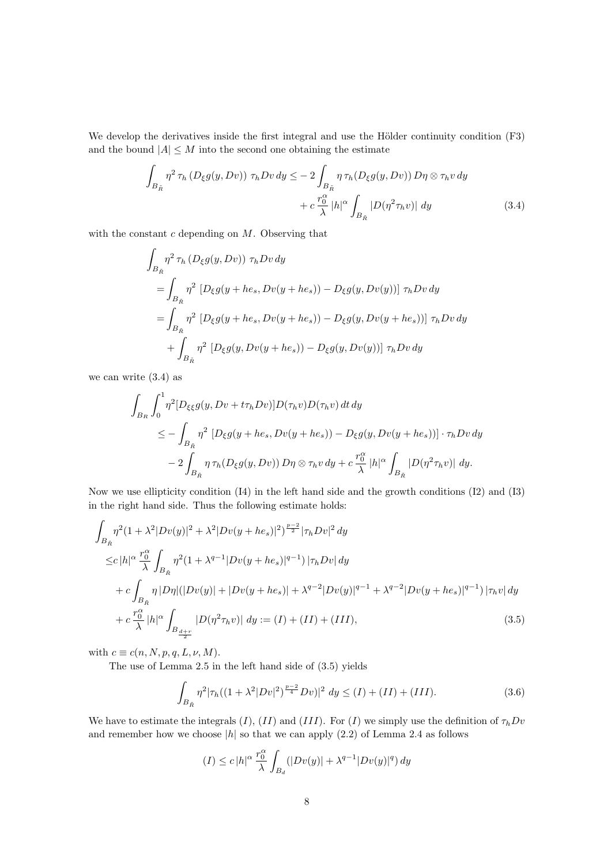We develop the derivatives inside the first integral and use the Hölder continuity condition (F3) and the bound  $|A| \leq M$  into the second one obtaining the estimate

$$
\int_{B_{\tilde{R}}} \eta^2 \,\tau_h \left( D_{\xi} g(y, Dv) \right) \,\tau_h Dv \,dy \leq -\, 2 \int_{B_{\tilde{R}}} \eta \,\tau_h \left( D_{\xi} g(y, Dv) \right) D\eta \otimes \tau_h v \,dy \n+ c \frac{r_0^{\alpha}}{\lambda} |h|^{\alpha} \int_{B_{\tilde{R}}} |D(\eta^2 \tau_h v)| \,dy
$$
\n(3.4)

with the constant  $c$  depending on  $M$ . Observing that

$$
\int_{B_{\tilde{R}}} \eta^2 \tau_h \left( D_{\xi} g(y, Dv) \right) \tau_h Dv \, dy
$$
\n
$$
= \int_{B_{\tilde{R}}} \eta^2 \left[ D_{\xi} g(y + he_s, Dv(y + he_s)) - D_{\xi} g(y, Dv(y)) \right] \tau_h Dv \, dy
$$
\n
$$
= \int_{B_{\tilde{R}}} \eta^2 \left[ D_{\xi} g(y + he_s, Dv(y + he_s)) - D_{\xi} g(y, Dv(y + he_s)) \right] \tau_h Dv \, dy
$$
\n
$$
+ \int_{B_{\tilde{R}}} \eta^2 \left[ D_{\xi} g(y, Dv(y + he_s)) - D_{\xi} g(y, Dv(y)) \right] \tau_h Dv \, dy
$$

we can write (3.4) as

$$
\int_{B_R} \int_0^1 \eta^2 [D_{\xi\xi}g(y, Dv + t\tau_h Dv)]D(\tau_h v)D(\tau_h v) dt dy
$$
\n
$$
\leq -\int_{B_{\tilde{R}}} \eta^2 [D_{\xi}g(y + he_s, Dv(y + he_s)) - D_{\xi}g(y, Dv(y + he_s))] \cdot \tau_h Dv dy
$$
\n
$$
-2\int_{B_{\tilde{R}}} \eta \tau_h (D_{\xi}g(y, Dv)) D\eta \otimes \tau_h v dy + c \frac{r_0^{\alpha}}{\lambda} |h|^{\alpha} \int_{B_{\tilde{R}}} |D(\eta^2 \tau_h v)| dy.
$$

Now we use ellipticity condition (I4) in the left hand side and the growth conditions (I2) and (I3) in the right hand side. Thus the following estimate holds:

$$
\int_{B_{\tilde{R}}} \eta^{2} (1 + \lambda^{2} |Dv(y)|^{2} + \lambda^{2} |Dv(y + he_{s})|^{2})^{\frac{p-2}{2}} |\tau_{h}Dv|^{2} dy
$$
\n
$$
\leq c |h|^{\alpha} \frac{r_{0}^{\alpha}}{\lambda} \int_{B_{\tilde{R}}} \eta^{2} (1 + \lambda^{q-1} |Dv(y + he_{s})|^{q-1}) |\tau_{h}Dv| dy
$$
\n
$$
+ c \int_{B_{\tilde{R}}} \eta |D\eta| (|Dv(y)| + |Dv(y + he_{s})| + \lambda^{q-2} |Dv(y)|^{q-1} + \lambda^{q-2} |Dv(y + he_{s})|^{q-1}) |\tau_{h}v| dy
$$
\n
$$
+ c \frac{r_{0}^{\alpha}}{\lambda} |h|^{\alpha} \int_{B_{\frac{d+r}{2}}} |D(\eta^{2} \tau_{h} v)| dy := (I) + (II) + (III), \tag{3.5}
$$

with  $c \equiv c(n, N, p, q, L, \nu, M)$ .

The use of Lemma 2.5 in the left hand side of (3.5) yields

$$
\int_{B_{\bar{R}}} \eta^2 |\tau_h((1+\lambda^2|Dv|^2)^{\frac{p-2}{4}}Dv)|^2 dy \le (I) + (II) + (III). \tag{3.6}
$$

We have to estimate the integrals  $(I)$ ,  $(II)$  and  $(III)$ . For  $(I)$  we simply use the definition of  $\tau_h Dv$ and remember how we choose  $|h|$  so that we can apply  $(2.2)$  of Lemma 2.4 as follows

$$
(I) \leq c |h|^{\alpha} \frac{r_0^{\alpha}}{\lambda} \int_{B_d} (|Dv(y)| + \lambda^{q-1} |Dv(y)|^q) dy
$$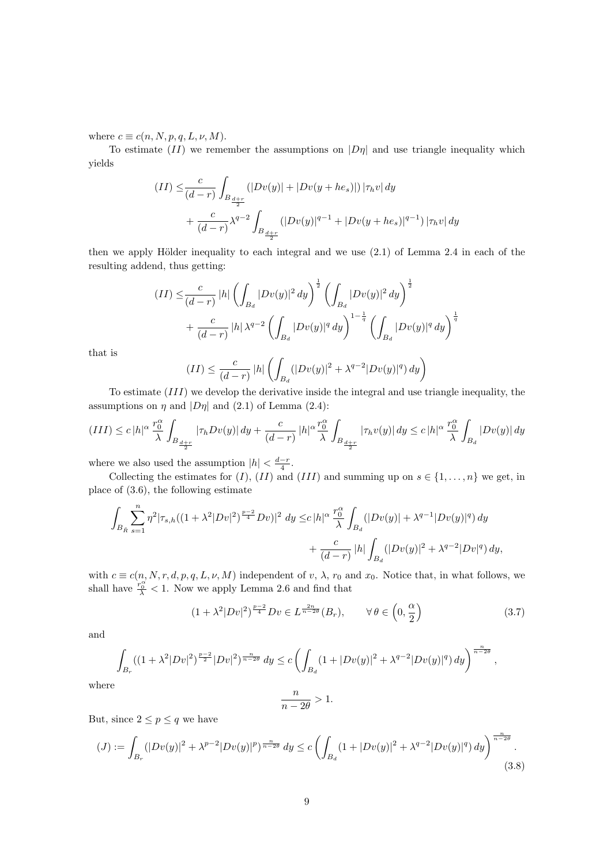where  $c \equiv c(n, N, p, q, L, \nu, M)$ .

To estimate  $(II)$  we remember the assumptions on  $|D\eta|$  and use triangle inequality which yields

$$
(II) \leq \frac{c}{(d-r)} \int_{B_{\frac{d+r}{2}}} (|Dv(y)| + |Dv(y + he_s)|) |\tau_h v| dy
$$
  
+ 
$$
\frac{c}{(d-r)} \lambda^{q-2} \int_{B_{\frac{d+r}{2}}} (|Dv(y)|^{q-1} + |Dv(y + he_s)|^{q-1}) |\tau_h v| dy
$$

then we apply Hölder inequality to each integral and we use  $(2.1)$  of Lemma 2.4 in each of the resulting addend, thus getting:

$$
(II) \leq \frac{c}{(d-r)} |h| \left( \int_{B_d} |Dv(y)|^2 dy \right)^{\frac{1}{2}} \left( \int_{B_d} |Dv(y)|^2 dy \right)^{\frac{1}{2}} + \frac{c}{(d-r)} |h| \lambda^{q-2} \left( \int_{B_d} |Dv(y)|^q dy \right)^{1-\frac{1}{q}} \left( \int_{B_d} |Dv(y)|^q dy \right)^{\frac{1}{q}}
$$

that is

$$
(II) \le \frac{c}{(d-r)} |h| \left( \int_{B_d} (|Dv(y)|^2 + \lambda^{q-2} |Dv(y)|^q) dy \right)
$$

To estimate (III) we develop the derivative inside the integral and use triangle inequality, the assumptions on  $\eta$  and  $|D\eta|$  and (2.1) of Lemma (2.4):

$$
(III) \leq c |h|^\alpha \frac{r_0^\alpha}{\lambda} \int_{B_{\frac{d+r}{2}}} |\tau_h Dv(y)| \, dy + \frac{c}{(d-r)} |h|^\alpha \frac{r_0^\alpha}{\lambda} \int_{B_{\frac{d+r}{2}}} |\tau_h v(y)| \, dy \leq c |h|^\alpha \frac{r_0^\alpha}{\lambda} \int_{B_d} |Dv(y)| \, dy
$$

where we also used the assumption  $|h| < \frac{d-r}{4}$ .

Collecting the estimates for  $(I)$ ,  $(II)$  and  $(III)$  and summing up on  $s \in \{1, ..., n\}$  we get, in place of (3.6), the following estimate

$$
\begin{aligned} \int_{B_{\tilde{R}}} \sum_{s=1}^n \eta^2 |\tau_{s,h} ( (1+\lambda^2|Dv|^2)^{\frac{p-2}{4}}Dv)|^2\ dy \leq & c\, |h|^{\alpha} \, \frac{r_0^\alpha}{\lambda} \int_{B_d} (|Dv(y)|+\lambda^{q-1}|Dv(y)|^q)\, dy \\ &\quad + \frac{c}{(d-r)}\, |h| \int_{B_d} (|Dv(y)|^2+\lambda^{q-2}|Dv|^q)\, dy, \end{aligned}
$$

with  $c \equiv c(n, N, r, d, p, q, L, \nu, M)$  independent of v,  $\lambda$ ,  $r_0$  and  $x_0$ . Notice that, in what follows, we shall have  $\frac{r_0^{\alpha}}{\lambda} < 1$ . Now we apply Lemma 2.6 and find that

$$
(1 + \lambda^2 |Dv|^2)^{\frac{p-2}{4}} Dv \in L^{\frac{2n}{n-2\theta}}(B_r), \qquad \forall \theta \in \left(0, \frac{\alpha}{2}\right)
$$
 (3.7)

and

$$
\int_{B_r} ((1+\lambda^2|Dv|^2)^{\frac{p-2}{2}}|Dv|^2)^{\frac{n}{n-2\theta}} dy \le c \left( \int_{B_d} (1+|Dv(y)|^2 + \lambda^{q-2}|Dv(y)|^q) dy \right)^{\frac{n}{n-2\theta}},
$$

where

$$
\frac{n}{n-2\theta} > 1.
$$

But, since  $2 \le p \le q$  we have

$$
(J) := \int_{B_r} (|Dv(y)|^2 + \lambda^{p-2} |Dv(y)|^p)^{\frac{n}{n-2\theta}} dy \le c \left( \int_{B_d} (1 + |Dv(y)|^2 + \lambda^{q-2} |Dv(y)|^q) dy \right)^{\frac{n}{n-2\theta}}.
$$
\n(3.8)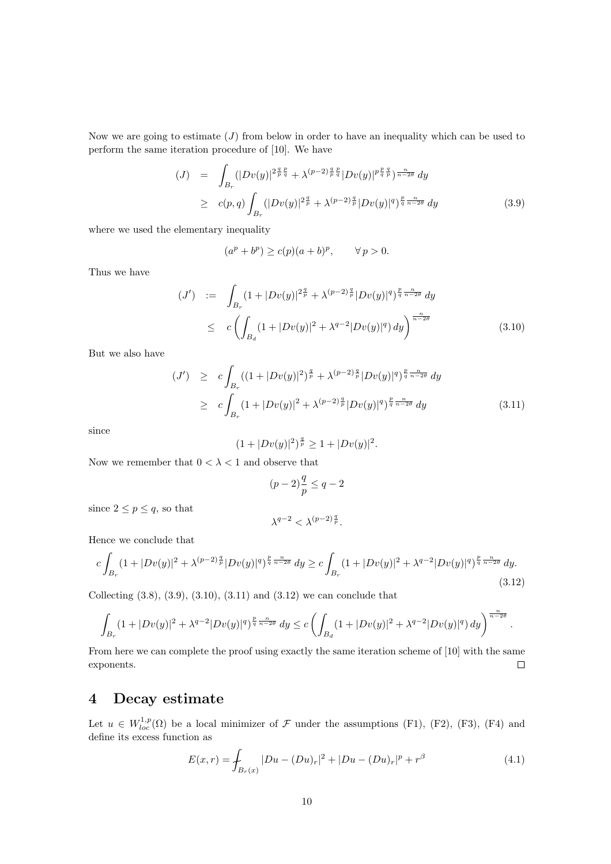Now we are going to estimate  $(J)$  from below in order to have an inequality which can be used to perform the same iteration procedure of [10]. We have

$$
(J) = \int_{B_r} (|Dv(y)|^{2\frac{q}{p}\frac{p}{q}} + \lambda^{(p-2)\frac{q}{p}\frac{p}{q}} |Dv(y)|^{p\frac{p}{q}\frac{q}{p}})^{\frac{n}{n-2\theta}} dy
$$
  
\n
$$
\geq c(p,q) \int_{B_r} (|Dv(y)|^{2\frac{q}{p}} + \lambda^{(p-2)\frac{q}{p}} |Dv(y)|^{q})^{\frac{p}{q}\frac{n}{n-2\theta}} dy
$$
 (3.9)

where we used the elementary inequality

$$
(ap + bp) \ge c(p)(a+b)p, \qquad \forall p > 0.
$$

Thus we have

$$
(J') \quad := \quad \int_{B_r} (1 + |Dv(y)|^{2\frac{q}{p}} + \lambda^{(p-2)\frac{q}{p}} |Dv(y)|^q)^{\frac{p}{q} \frac{n}{n-2\theta}} dy
$$
\n
$$
\leq \quad c \left( \int_{B_d} (1 + |Dv(y)|^2 + \lambda^{q-2} |Dv(y)|^q) dy \right)^{\frac{n}{n-2\theta}} \tag{3.10}
$$

But we also have

$$
(J') \geq c \int_{B_r} \left( (1+|Dv(y)|^2)^{\frac{q}{p}} + \lambda^{(p-2)\frac{q}{p}} |Dv(y)|^q \right)^{\frac{p}{q} \frac{n}{n-2\theta}} dy
$$
  
 
$$
\geq c \int_{B_r} \left( 1+|Dv(y)|^2 + \lambda^{(p-2)\frac{q}{p}} |Dv(y)|^q \right)^{\frac{p}{q} \frac{n}{n-2\theta}} dy
$$
(3.11)

since

$$
(1+|Dv(y)|^2)^{\frac{q}{p}} \ge 1+|Dv(y)|^2.
$$

Now we remember that  $0<\lambda<1$  and observe that

$$
(p-2)\frac{q}{p}\leq q-2
$$

since  $2 \le p \le q$ , so that

$$
\lambda^{q-2} < \lambda^{(p-2)\frac{q}{p}}.
$$

Hence we conclude that

$$
c\int_{B_r} (1+|Dv(y)|^2 + \lambda^{(p-2)\frac{q}{p}} |Dv(y)|^q)^{\frac{p}{q}\frac{n}{n-2\theta}} dy \ge c\int_{B_r} (1+|Dv(y)|^2 + \lambda^{q-2} |Dv(y)|^q)^{\frac{p}{q}\frac{n}{n-2\theta}} dy.
$$
\n(3.12)

Collecting  $(3.8), (3.9), (3.10), (3.11)$  and  $(3.12)$  we can conclude that

$$
\int_{B_r} (1+|Dv(y)|^2 + \lambda^{q-2} |Dv(y)|^q)^{\frac{p}{q}\frac{n}{n-2\theta}} dy \le c \left( \int_{B_d} (1+|Dv(y)|^2 + \lambda^{q-2} |Dv(y)|^q) dy \right)^{\frac{n}{n-2\theta}}.
$$

From here we can complete the proof using exactly the same iteration scheme of [10] with the same exponents.  $\Box$ 

# 4 Decay estimate

Let  $u \in W_{loc}^{1,p}(\Omega)$  be a local minimizer of  $\mathcal F$  under the assumptions (F1), (F2), (F3), (F4) and define its excess function as

$$
E(x,r) = \int_{B_r(x)} |Du - (Du)_r|^2 + |Du - (Du)_r|^p + r^{\beta}
$$
\n(4.1)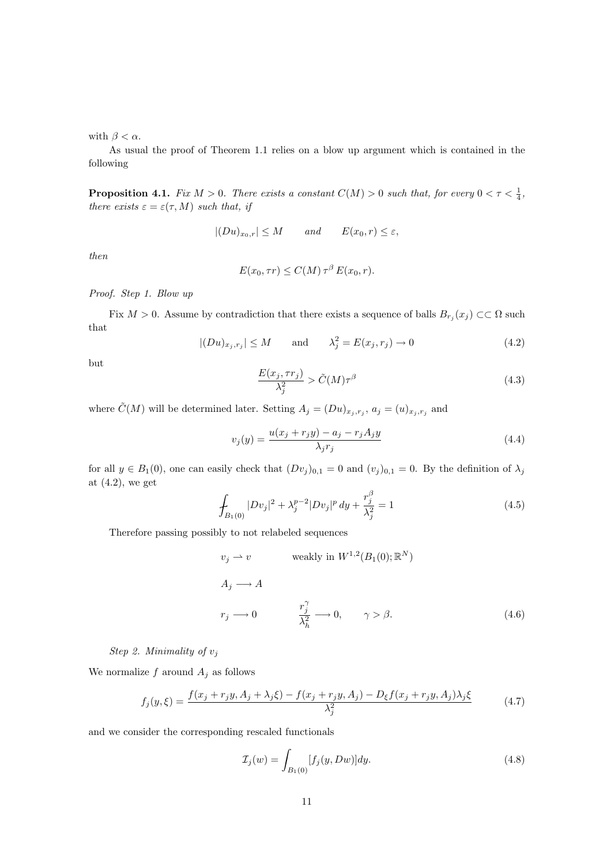with  $\beta < \alpha$ .

As usual the proof of Theorem 1.1 relies on a blow up argument which is contained in the following

**Proposition 4.1.** Fix  $M > 0$ . There exists a constant  $C(M) > 0$  such that, for every  $0 < \tau < \frac{1}{4}$ , there exists  $\varepsilon = \varepsilon(\tau, M)$  such that, if

$$
|(Du)_{x_0,r}| \le M \qquad and \qquad E(x_0,r) \le \varepsilon,
$$

then

$$
E(x_0, \tau r) \le C(M) \tau^{\beta} E(x_0, r).
$$

#### Proof. Step 1. Blow up

Fix  $M > 0$ . Assume by contradiction that there exists a sequence of balls  $B_{r_j}(x_j) \subset\subset \Omega$  such that

$$
|(Du)_{x_j,r_j}| \le M \quad \text{and} \quad \lambda_j^2 = E(x_j,r_j) \to 0 \tag{4.2}
$$

but

$$
\frac{E(x_j, \tau r_j)}{\lambda_j^2} > \tilde{C}(M)\tau^{\beta}
$$
\n(4.3)

where  $\tilde{C}(M)$  will be determined later. Setting  $A_j = (Du)_{x_j, r_j}, a_j = (u)_{x_j, r_j}$  and

$$
v_j(y) = \frac{u(x_j + r_j y) - a_j - r_j A_j y}{\lambda_j r_j} \tag{4.4}
$$

for all  $y \in B_1(0)$ , one can easily check that  $(Dv_j)_{0,1} = 0$  and  $(v_j)_{0,1} = 0$ . By the definition of  $\lambda_j$ at  $(4.2)$ , we get

$$
\oint_{B_1(0)} |Dv_j|^2 + \lambda_j^{p-2} |Dv_j|^p \, dy + \frac{r_j^{\beta}}{\lambda_j^2} = 1 \tag{4.5}
$$

Therefore passing possibly to not relabeled sequences

$$
v_j \rightharpoonup v \qquad \text{weakly in } W^{1,2}(B_1(0); \mathbb{R}^N)
$$
  
\n
$$
A_j \rightharpoonup A
$$
  
\n
$$
r_j \rightharpoonup 0 \qquad \frac{r_j^{\gamma}}{\lambda_h^2} \rightharpoonup 0, \qquad \gamma > \beta.
$$
\n(4.6)

Step 2. Minimality of  $v_j$ 

We normalize  $f$  around  $A_j$  as follows

$$
f_j(y,\xi) = \frac{f(x_j + r_j y, A_j + \lambda_j \xi) - f(x_j + r_j y, A_j) - D_{\xi} f(x_j + r_j y, A_j) \lambda_j \xi}{\lambda_j^2}
$$
(4.7)

and we consider the corresponding rescaled functionals

$$
\mathcal{I}_j(w) = \int_{B_1(0)} [f_j(y, Dw)] dy.
$$
\n(4.8)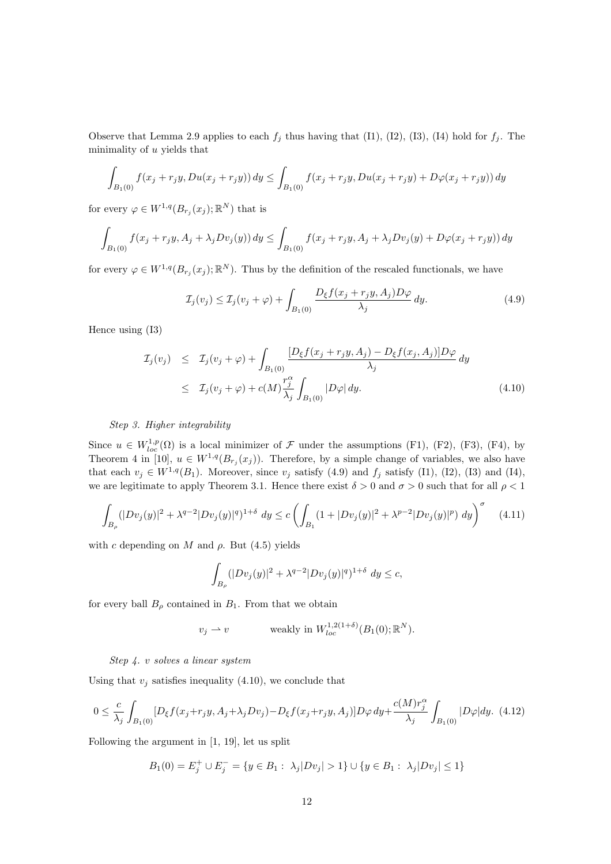Observe that Lemma 2.9 applies to each  $f_j$  thus having that (I1), (I2), (I3), (I4) hold for  $f_j$ . The minimality of u yields that

$$
\int_{B_1(0)} f(x_j + r_j y, Du(x_j + r_j y)) dy \le \int_{B_1(0)} f(x_j + r_j y, Du(x_j + r_j y) + D\varphi(x_j + r_j y)) dy
$$

for every  $\varphi \in W^{1,q}(B_{r_j}(x_j);\mathbb{R}^N)$  that is

$$
\int_{B_1(0)} f(x_j + r_j y, A_j + \lambda_j D v_j(y)) dy \le \int_{B_1(0)} f(x_j + r_j y, A_j + \lambda_j D v_j(y) + D \varphi (x_j + r_j y)) dy
$$

for every  $\varphi \in W^{1,q}(B_{r_j}(x_j);\mathbb{R}^N)$ . Thus by the definition of the rescaled functionals, we have

$$
\mathcal{I}_j(v_j) \le \mathcal{I}_j(v_j + \varphi) + \int_{B_1(0)} \frac{D_{\xi}f(x_j + r_jy, A_j)D\varphi}{\lambda_j} dy.
$$
\n(4.9)

Hence using (I3)

$$
\mathcal{I}_j(v_j) \leq \mathcal{I}_j(v_j + \varphi) + \int_{B_1(0)} \frac{[D_{\xi}f(x_j + r_jy, A_j) - D_{\xi}f(x_j, A_j)]D\varphi}{\lambda_j} dy
$$
\n
$$
\leq \mathcal{I}_j(v_j + \varphi) + c(M) \frac{r_j^{\alpha}}{\lambda_j} \int_{B_1(0)} |D\varphi| dy. \tag{4.10}
$$

Step 3. Higher integrability

Since  $u \in W_{loc}^{1,p}(\Omega)$  is a local minimizer of  $\mathcal F$  under the assumptions (F1), (F2), (F3), (F4), by Theorem 4 in [10],  $u \in W^{1,q}(B_{r_i}(x_j))$ . Therefore, by a simple change of variables, we also have that each  $v_j \in W^{1,q}(B_1)$ . Moreover, since  $v_j$  satisfy (4.9) and  $f_j$  satisfy (I1), (I2), (I3) and (I4), we are legitimate to apply Theorem 3.1. Hence there exist  $\delta > 0$  and  $\sigma > 0$  such that for all  $\rho < 1$ 

$$
\int_{B_{\rho}} (|Dv_j(y)|^2 + \lambda^{q-2} |Dv_j(y)|^q)^{1+\delta} dy \le c \left( \int_{B_1} (1 + |Dv_j(y)|^2 + \lambda^{p-2} |Dv_j(y)|^p) dy \right)^{\sigma}
$$
(4.11)

with c depending on M and  $\rho$ . But (4.5) yields

$$
\int_{B_{\rho}} (|Dv_j(y)|^2 + \lambda^{q-2} |Dv_j(y)|^q)^{1+\delta} dy \le c,
$$

for every ball  $B_{\rho}$  contained in  $B_1$ . From that we obtain

$$
v_j \rightharpoonup v \qquad \text{ weakly in } W_{loc}^{1,2(1+\delta)}(B_1(0); \mathbb{R}^N).
$$

Step 4. v solves a linear system

Using that  $v_j$  satisfies inequality (4.10), we conclude that

$$
0 \leq \frac{c}{\lambda_j} \int_{B_1(0)} [D_{\xi}f(x_j + r_jy, A_j + \lambda_j Dv_j) - D_{\xi}f(x_j + r_jy, A_j)] D\varphi dy + \frac{c(M)r_j^{\alpha}}{\lambda_j} \int_{B_1(0)} |D\varphi| dy. \tag{4.12}
$$

Following the argument in [1, 19], let us split

$$
B_1(0) = E_j^+ \cup E_j^- = \{ y \in B_1 : \lambda_j |Dv_j| > 1 \} \cup \{ y \in B_1 : \lambda_j |Dv_j| \le 1 \}
$$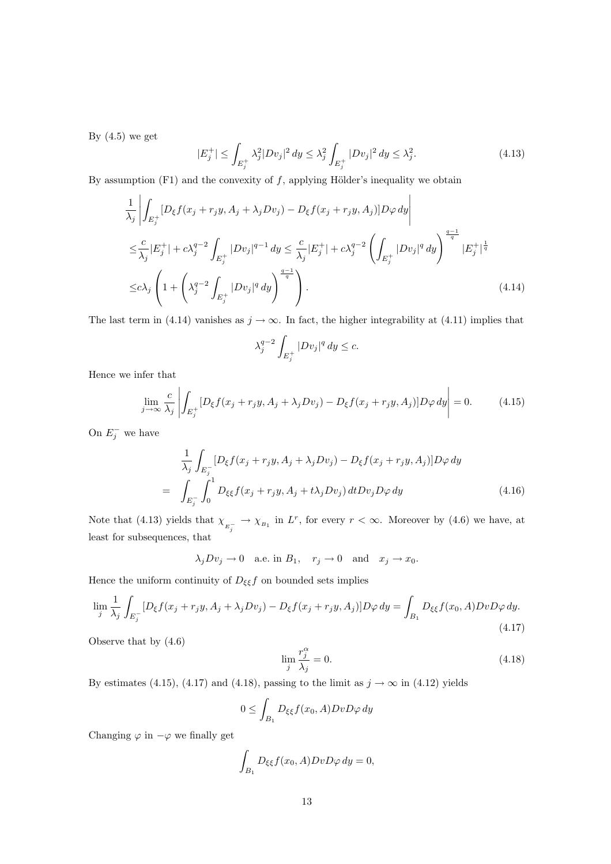By  $(4.5)$  we get

$$
|E_j^+| \le \int_{E_j^+} \lambda_j^2 |Dv_j|^2 \, dy \le \lambda_j^2 \int_{E_j^+} |Dv_j|^2 \, dy \le \lambda_j^2. \tag{4.13}
$$

By assumption  $(F1)$  and the convexity of  $f$ , applying Hölder's inequality we obtain

$$
\frac{1}{\lambda_j} \left| \int_{E_j^+} [D_{\xi} f(x_j + r_j y, A_j + \lambda_j D v_j) - D_{\xi} f(x_j + r_j y, A_j)] D\varphi \, dy \right|
$$
\n
$$
\leq \frac{c}{\lambda_j} |E_j^+| + c \lambda_j^{q-2} \int_{E_j^+} |D v_j|^{q-1} \, dy \leq \frac{c}{\lambda_j} |E_j^+| + c \lambda_j^{q-2} \left( \int_{E_j^+} |D v_j|^q \, dy \right)^{\frac{q-1}{q}} |E_j^+|^{\frac{1}{q}}
$$
\n
$$
\leq c \lambda_j \left( 1 + \left( \lambda_j^{q-2} \int_{E_j^+} |D v_j|^q \, dy \right)^{\frac{q-1}{q}} \right). \tag{4.14}
$$

The last term in (4.14) vanishes as  $j \to \infty$ . In fact, the higher integrability at (4.11) implies that

$$
\lambda_j^{q-2}\int_{E_j^+}|Dv_j|^q\,dy\leq c.
$$

Hence we infer that

$$
\lim_{j \to \infty} \frac{c}{\lambda_j} \left| \int_{E_j^+} [D_{\xi} f(x_j + r_j y, A_j + \lambda_j D v_j) - D_{\xi} f(x_j + r_j y, A_j)] D \varphi \, dy \right| = 0. \tag{4.15}
$$

On  $E_j^-$  we have

$$
\frac{1}{\lambda_j} \int_{E_j^-} [D_{\xi} f(x_j + r_j y, A_j + \lambda_j D v_j) - D_{\xi} f(x_j + r_j y, A_j)] D\varphi \, dy
$$
\n
$$
= \int_{E_j^-} \int_0^1 D_{\xi\xi} f(x_j + r_j y, A_j + t\lambda_j D v_j) \, dt D v_j D\varphi \, dy \tag{4.16}
$$

Note that (4.13) yields that  $\chi_{E_i^-} \to \chi_{B_1}$  in  $L^r$ , for every  $r < \infty$ . Moreover by (4.6) we have, at least for subsequences, that

$$
\lambda_jDv_j\to 0\quad\text{a.e.~in}~B_1,\quad r_j\to 0\quad\text{and}\quad x_j\to x_0.
$$

Hence the uniform continuity of  $D_{\xi\xi}f$  on bounded sets implies

$$
\lim_{j} \frac{1}{\lambda_j} \int_{E_j^-} [D_{\xi} f(x_j + r_j y, A_j + \lambda_j D v_j) - D_{\xi} f(x_j + r_j y, A_j)] D\varphi \, dy = \int_{B_1} D_{\xi \xi} f(x_0, A) Dv D\varphi \, dy. \tag{4.17}
$$

Observe that by (4.6)

$$
\lim_{j} \frac{r_j^{\alpha}}{\lambda_j} = 0. \tag{4.18}
$$

By estimates (4.15), (4.17) and (4.18), passing to the limit as  $j \to \infty$  in (4.12) yields

$$
0 \leq \int_{B_1} D_{\xi\xi} f(x_0, A) Dv D\varphi \, dy
$$

Changing  $\varphi$  in  $-\varphi$  we finally get

$$
\int_{B_1} D_{\xi\xi} f(x_0, A) Dv D\varphi \, dy = 0,
$$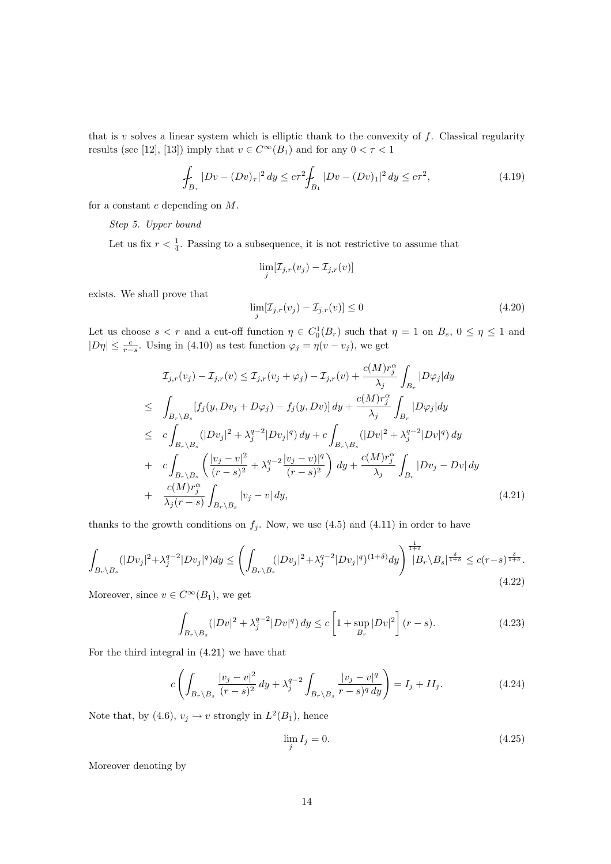that is  $v$  solves a linear system which is elliptic thank to the convexity of  $f$ . Classical regularity results (see [12], [13]) imply that  $v\in C^\infty(B_1)$  and for any  $0<\tau<1$ 

$$
\int_{B_{\tau}} |Dv - (Dv)_{\tau}|^2 dy \le c\tau^2 \int_{B_1} |Dv - (Dv)_{1}|^2 dy \le c\tau^2,
$$
\n(4.19)

for a constant  $c$  depending on  $M$ .

### Step 5. Upper bound

Let us fix  $r < \frac{1}{4}$ . Passing to a subsequence, it is not restrictive to assume that

$$
\lim_{j} [\mathcal{I}_{j,r}(v_j) - \mathcal{I}_{j,r}(v)]
$$

exists. We shall prove that

$$
\lim_{j} [\mathcal{I}_{j,r}(v_j) - \mathcal{I}_{j,r}(v)] \le 0
$$
\n(4.20)

Let us choose  $s < r$  and a cut-off function  $\eta \in C_0^1(B_r)$  such that  $\eta = 1$  on  $B_s$ ,  $0 \leq \eta \leq 1$  and  $|D\eta| \leq \frac{c}{r-s}$ . Using in (4.10) as test function  $\varphi_j = \eta(v - v_j)$ , we get

$$
\mathcal{I}_{j,r}(v_j) - \mathcal{I}_{j,r}(v) \leq \mathcal{I}_{j,r}(v_j + \varphi_j) - \mathcal{I}_{j,r}(v) + \frac{c(M)r_j^{\alpha}}{\lambda_j} \int_{B_r} |D\varphi_j| dy
$$
\n
$$
\leq \int_{B_r \setminus B_s} [f_j(y, Dv_j + D\varphi_j) - f_j(y, Dv)] dy + \frac{c(M)r_j^{\alpha}}{\lambda_j} \int_{B_r} |D\varphi_j| dy
$$
\n
$$
\leq c \int_{B_r \setminus B_s} (|Dv_j|^2 + \lambda_j^{q-2} |Dv_j|^q) dy + c \int_{B_r \setminus B_s} (|Dv|^2 + \lambda_j^{q-2} |Dv|^q) dy
$$
\n
$$
+ c \int_{B_r \setminus B_s} \left( \frac{|v_j - v|^2}{(r - s)^2} + \lambda_j^{q-2} \frac{|v_j - v|^q}{(r - s)^2} \right) dy + \frac{c(M)r_j^{\alpha}}{\lambda_j} \int_{B_r} |Dv_j - Dv| dy
$$
\n
$$
+ \frac{c(M)r_j^{\alpha}}{\lambda_j(r - s)} \int_{B_r \setminus B_s} |v_j - v| dy,
$$
\n(4.21)

thanks to the growth conditions on  $f_j$ . Now, we use (4.5) and (4.11) in order to have

$$
\int_{B_r \backslash B_s} (|Dv_j|^2 + \lambda_j^{q-2} |Dv_j|^q) dy \le \left( \int_{B_r \backslash B_s} (|Dv_j|^2 + \lambda_j^{q-2} |Dv_j|^q)^{(1+\delta)} dy \right)^{\frac{1}{1+\delta}} |B_r \backslash B_s|^{\frac{\delta}{1+\delta}} \le c(r-s)^{\frac{\delta}{1+\delta}}.
$$
\n(4.22)

Moreover, since  $v \in C^{\infty}(B_1)$ , we get

$$
\int_{B_r \backslash B_s} (|Dv|^2 + \lambda_j^{q-2} |Dv|^q) dy \le c \left[ 1 + \sup_{B_r} |Dv|^2 \right] (r - s).
$$
\n(4.23)

For the third integral in (4.21) we have that

$$
c\left(\int_{B_r\setminus B_s} \frac{|v_j - v|^2}{(r - s)^2} dy + \lambda_j^{q-2} \int_{B_r\setminus B_s} \frac{|v_j - v|^q}{r - s^q} dy\right) = I_j + II_j.
$$
 (4.24)

Note that, by (4.6),  $v_j \to v$  strongly in  $L^2(B_1)$ , hence

$$
\lim_{j} I_j = 0. \tag{4.25}
$$

Moreover denoting by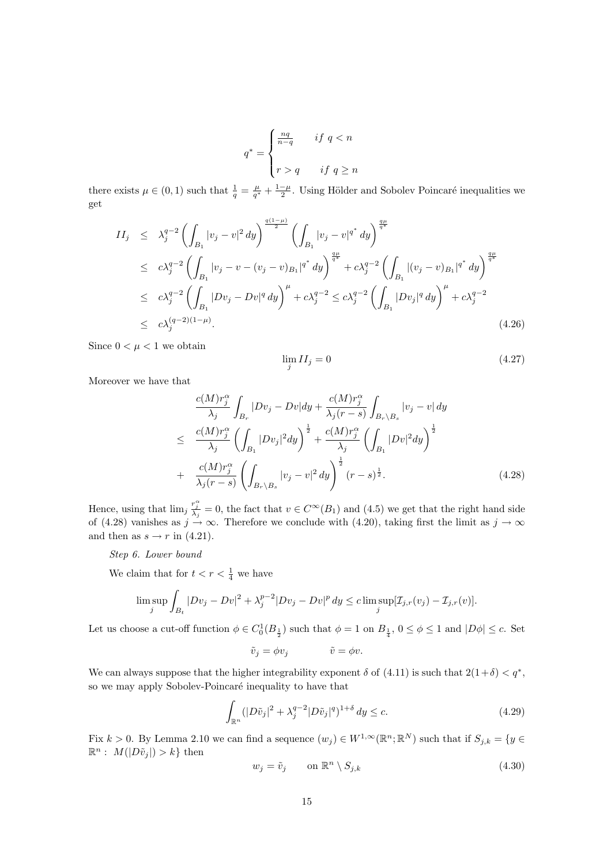$$
q^* = \begin{cases} \frac{nq}{n-q} & \text{if } q < n \\ \\ r > q & \text{if } q \ge n \end{cases}
$$

there exists  $\mu \in (0, 1)$  such that  $\frac{1}{q} = \frac{\mu}{q^*} + \frac{1-\mu}{2}$ . Using Hölder and Sobolev Poincaré inequalities we get

$$
II_j \leq \lambda_j^{q-2} \left( \int_{B_1} |v_j - v|^2 dy \right)^{\frac{q(1-\mu)}{2}} \left( \int_{B_1} |v_j - v|^{q^*} dy \right)^{\frac{q\mu}{q^*}}
$$
  
\n
$$
\leq c \lambda_j^{q-2} \left( \int_{B_1} |v_j - v - (v_j - v)_{B_1}|^{q^*} dy \right)^{\frac{q\mu}{q^*}} + c \lambda_j^{q-2} \left( \int_{B_1} |(v_j - v)_{B_1}|^{q^*} dy \right)^{\frac{q\mu}{q^*}}
$$
  
\n
$$
\leq c \lambda_j^{q-2} \left( \int_{B_1} |Dv_j - Dv|^q dy \right)^{\mu} + c \lambda_j^{q-2} \leq c \lambda_j^{q-2} \left( \int_{B_1} |Dv_j|^q dy \right)^{\mu} + c \lambda_j^{q-2}
$$
  
\n
$$
\leq c \lambda_j^{(q-2)(1-\mu)}.
$$
\n(4.26)

Since  $0 < \mu < 1$  we obtain

$$
\lim_{j} II_{j} = 0 \tag{4.27}
$$

Moreover we have that

$$
\frac{c(M)r_j^{\alpha}}{\lambda_j} \int_{B_r} |Dv_j - Dv| dy + \frac{c(M)r_j^{\alpha}}{\lambda_j (r-s)} \int_{B_r \backslash B_s} |v_j - v| dy
$$
\n
$$
\leq \frac{c(M)r_j^{\alpha}}{\lambda_j} \left( \int_{B_1} |Dv_j|^2 dy \right)^{\frac{1}{2}} + \frac{c(M)r_j^{\alpha}}{\lambda_j} \left( \int_{B_1} |Dv|^2 dy \right)^{\frac{1}{2}}
$$
\n
$$
+ \frac{c(M)r_j^{\alpha}}{\lambda_j (r-s)} \left( \int_{B_r \backslash B_s} |v_j - v|^2 dy \right)^{\frac{1}{2}} (r-s)^{\frac{1}{2}}.
$$
\n(4.28)

Hence, using that  $\lim_j \frac{r_j^{\alpha}}{\lambda_j} = 0$ , the fact that  $v \in C^{\infty}(B_1)$  and  $(4.5)$  we get that the right hand side of (4.28) vanishes as  $j \to \infty$ . Therefore we conclude with (4.20), taking first the limit as  $j \to \infty$ and then as  $s \to r$  in (4.21).

Step 6. Lower bound

We claim that for  $t < r < \frac{1}{4}$  we have

$$
\limsup_{j} \int_{B_t} |Dv_j - Dv|^2 + \lambda_j^{p-2} |Dv_j - Dv|^p dy \le c \limsup_{j} [\mathcal{I}_{j,r}(v_j) - \mathcal{I}_{j,r}(v)].
$$

Let us choose a cut-off function  $\phi \in C_0^1(B_{\frac{1}{2}})$  such that  $\phi = 1$  on  $B_{\frac{1}{4}}$ ,  $0 \le \phi \le 1$  and  $|D\phi| \le c$ . Set

$$
\tilde{v}_j = \phi v_j \qquad \qquad \tilde{v} = \phi v.
$$

We can always suppose that the higher integrability exponent  $\delta$  of (4.11) is such that  $2(1+\delta) < q^*$ , so we may apply Sobolev-Poincaré inequality to have that

$$
\int_{\mathbb{R}^n} (|D\tilde{v}_j|^2 + \lambda_j^{q-2} |D\tilde{v}_j|^q)^{1+\delta} dy \le c.
$$
\n(4.29)

Fix  $k > 0$ . By Lemma 2.10 we can find a sequence  $(w_j) \in W^{1,\infty}(\mathbb{R}^n;\mathbb{R}^N)$  such that if  $S_{j,k} = \{y \in W^{1,\infty}(\mathbb{R}^n;\mathbb{R}^N) | \text{ such that if } S_{j,k} = 0\}$  $\mathbb{R}^n$ :  $M(|D\tilde{v}_j|) > k$  then

$$
w_j = \tilde{v}_j \qquad \text{on } \mathbb{R}^n \setminus S_{j,k} \tag{4.30}
$$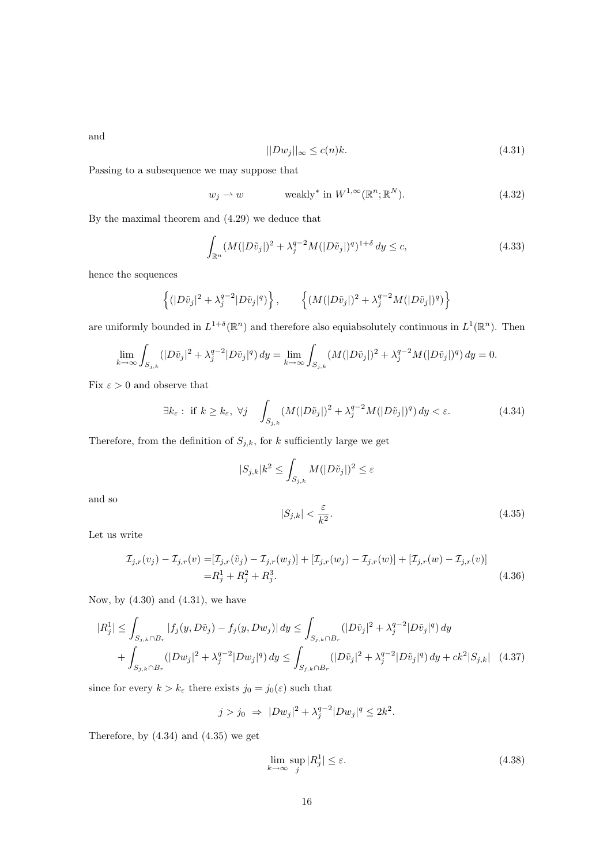and

$$
||Dw_j||_{\infty} \le c(n)k. \tag{4.31}
$$

Passing to a subsequence we may suppose that

$$
w_j \rightharpoonup w \qquad \text{ weakly* in } W^{1,\infty}(\mathbb{R}^n; \mathbb{R}^N). \tag{4.32}
$$

By the maximal theorem and (4.29) we deduce that

$$
\int_{\mathbb{R}^n} (M(|D\tilde{v}_j|)^2 + \lambda_j^{q-2} M(|D\tilde{v}_j|)^q)^{1+\delta} dy \le c,\tag{4.33}
$$

hence the sequences

$$
\left\{ (|D\tilde{v}_j|^2 + \lambda_j^{q-2} |D\tilde{v}_j|^q) \right\}, \qquad \left\{ (M(|D\tilde{v}_j|)^2 + \lambda_j^{q-2} M(|D\tilde{v}_j|)^q) \right\}
$$

are uniformly bounded in  $L^{1+\delta}(\mathbb{R}^n)$  and therefore also equiabsolutely continuous in  $L^1(\mathbb{R}^n)$ . Then

$$
\lim_{k \to \infty} \int_{S_{j,k}} (|D\tilde{v}_j|^2 + \lambda_j^{q-2} |D\tilde{v}_j|^q) dy = \lim_{k \to \infty} \int_{S_{j,k}} (M(|D\tilde{v}_j|)^2 + \lambda_j^{q-2} M(|D\tilde{v}_j|)^q) dy = 0.
$$

Fix  $\varepsilon>0$  and observe that

$$
\exists k_{\varepsilon}: \text{ if } k \ge k_{\varepsilon}, \ \forall j \quad \int_{S_{j,k}} (M(|D\tilde{v}_j|)^2 + \lambda_j^{q-2} M(|D\tilde{v}_j|)^q) \, dy < \varepsilon. \tag{4.34}
$$

Therefore, from the definition of  $S_{j,k}$ , for k sufficiently large we get

$$
|S_{j,k}|k^2 \le \int_{S_{j,k}} M(|D\tilde{v}_j|)^2 \le \varepsilon
$$

and so

$$
|S_{j,k}| < \frac{\varepsilon}{k^2}.\tag{4.35}
$$

Let us write

$$
\mathcal{I}_{j,r}(v_j) - \mathcal{I}_{j,r}(v) = [\mathcal{I}_{j,r}(\tilde{v}_j) - \mathcal{I}_{j,r}(w_j)] + [\mathcal{I}_{j,r}(w_j) - \mathcal{I}_{j,r}(w)] + [\mathcal{I}_{j,r}(w) - \mathcal{I}_{j,r}(v)]
$$
  
=  $R_j^1 + R_j^2 + R_j^3$ . (4.36)

Now, by  $(4.30)$  and  $(4.31)$ , we have

$$
|R_j^1| \leq \int_{S_{j,k} \cap B_r} |f_j(y, D\tilde{v}_j) - f_j(y, Dw_j)| dy \leq \int_{S_{j,k} \cap B_r} (|D\tilde{v}_j|^2 + \lambda_j^{q-2} |D\tilde{v}_j|^q) dy
$$
  
+ 
$$
\int_{S_{j,k} \cap B_r} (|Dw_j|^2 + \lambda_j^{q-2} |Dw_j|^q) dy \leq \int_{S_{j,k} \cap B_r} (|D\tilde{v}_j|^2 + \lambda_j^{q-2} |D\tilde{v}_j|^q) dy + ck^2 |S_{j,k}| \quad (4.37)
$$

since for every  $k > k<sub>\varepsilon</sub>$  there exists  $j_0 = j_0(\varepsilon)$  such that

$$
j > j_0 \Rightarrow |Dw_j|^2 + \lambda_j^{q-2} |Dw_j|^q \le 2k^2.
$$

Therefore, by (4.34) and (4.35) we get

$$
\lim_{k \to \infty} \sup_{j} |R_j^1| \le \varepsilon. \tag{4.38}
$$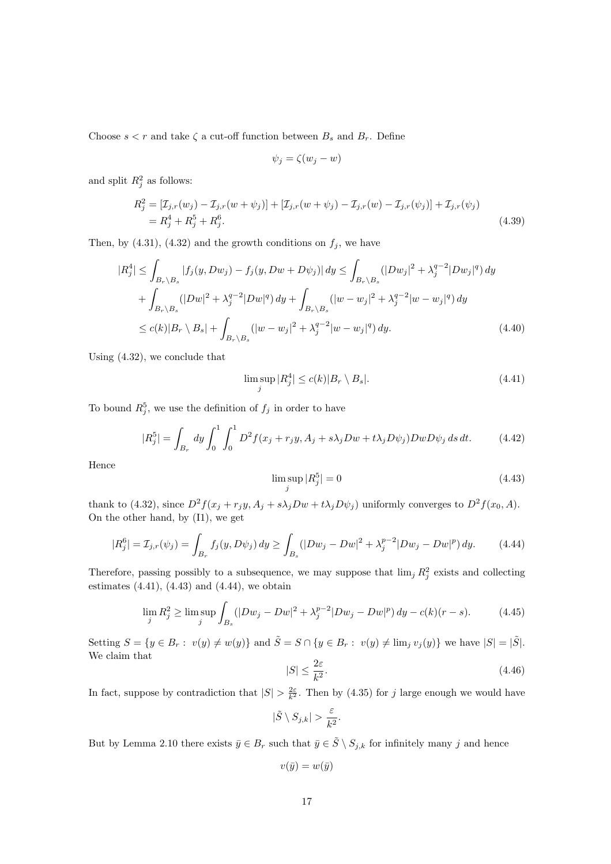Choose  $s < r$  and take  $\zeta$  a cut-off function between  $B_s$  and  $B_r$ . Define

$$
\psi_j = \zeta(w_j - w)
$$

and split  $R_j^2$  as follows:

$$
R_j^2 = [\mathcal{I}_{j,r}(w_j) - \mathcal{I}_{j,r}(w + \psi_j)] + [\mathcal{I}_{j,r}(w + \psi_j) - \mathcal{I}_{j,r}(w) - \mathcal{I}_{j,r}(\psi_j)] + \mathcal{I}_{j,r}(\psi_j)
$$
  
=  $R_j^4 + R_j^5 + R_j^6$ . (4.39)

Then, by (4.31), (4.32) and the growth conditions on  $f_j$ , we have

$$
|R_j^4| \leq \int_{B_r \backslash B_s} |f_j(y, Dw_j) - f_j(y, Dw + D\psi_j)| dy \leq \int_{B_r \backslash B_s} (|Dw_j|^2 + \lambda_j^{q-2} |Dw_j|^q) dy + \int_{B_r \backslash B_s} (|Dw|^2 + \lambda_j^{q-2} |Dw|^q) dy + \int_{B_r \backslash B_s} (|w - w_j|^2 + \lambda_j^{q-2} |w - w_j|^q) dy \leq c(k)|B_r \backslash B_s| + \int_{B_r \backslash B_s} (|w - w_j|^2 + \lambda_j^{q-2} |w - w_j|^q) dy.
$$
\n(4.40)

Using (4.32), we conclude that

$$
\limsup_{j} |R_j^4| \le c(k)|B_r \setminus B_s|.
$$
\n(4.41)

To bound  $R_j^5$ , we use the definition of  $f_j$  in order to have

$$
|R_j^5| = \int_{B_r} dy \int_0^1 \int_0^1 D^2 f(x_j + r_j y, A_j + s\lambda_j Dw + t\lambda_j D\psi_j) Dw D\psi_j ds dt.
$$
 (4.42)

Hence

$$
\limsup_{j} |R_j^5| = 0 \tag{4.43}
$$

thank to (4.32), since  $D^2f(x_j + r_jy, A_j + s\lambda_jDw + t\lambda_jD\psi_j)$  uniformly converges to  $D^2f(x_0, A)$ . On the other hand, by (I1), we get

$$
|R_j^6| = \mathcal{I}_{j,r}(\psi_j) = \int_{B_r} f_j(y, D\psi_j) dy \ge \int_{B_s} (|Dw_j - Dw|^2 + \lambda_j^{p-2} |Dw_j - Dw|^p) dy.
$$
 (4.44)

Therefore, passing possibly to a subsequence, we may suppose that  $\lim_j R_j^2$  exists and collecting estimates  $(4.41)$ ,  $(4.43)$  and  $(4.44)$ , we obtain

$$
\lim_{j} R_j^2 \ge \limsup_{j} \int_{B_s} (|Dw_j - Dw|^2 + \lambda_j^{p-2} |Dw_j - Dw|^p) dy - c(k)(r - s).
$$
 (4.45)

Setting  $S = \{y \in B_r : v(y) \neq w(y)\}\$  and  $\tilde{S} = S \cap \{y \in B_r : v(y) \neq \lim_j v_j(y)\}\$  we have  $|S| = |\tilde{S}|$ . We claim that

$$
|S| \le \frac{2\varepsilon}{k^2}.\tag{4.46}
$$

In fact, suppose by contradiction that  $|S| > \frac{2\varepsilon}{k^2}$ . Then by (4.35) for j large enough we would have

$$
|\tilde{S}\setminus S_{j,k}| > \frac{\varepsilon}{k^2}.
$$

But by Lemma 2.10 there exists  $\bar{y} \in B_r$  such that  $\bar{y} \in \tilde{S} \setminus S_{j,k}$  for infinitely many j and hence

$$
v(\bar{y}) = w(\bar{y})
$$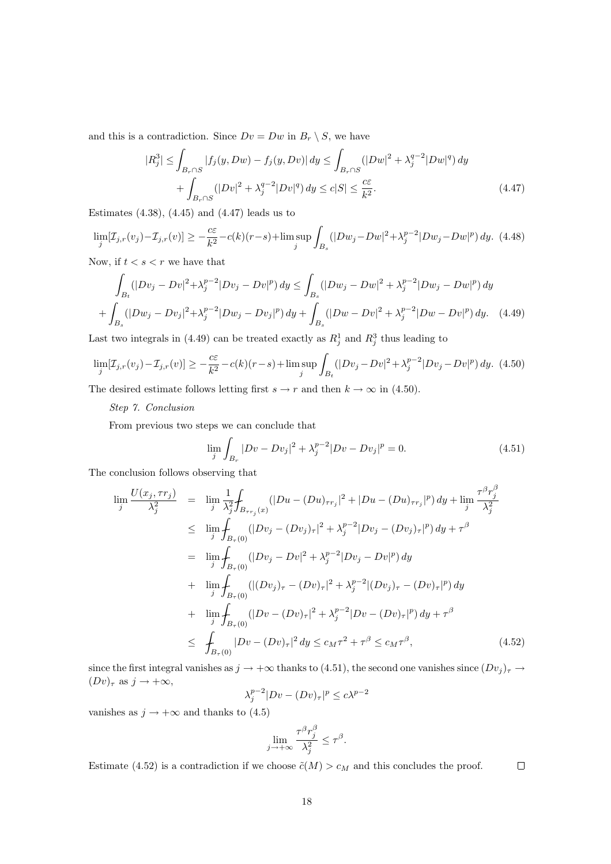and this is a contradiction. Since  $Dv = Dw$  in  $B_r \setminus S$ , we have

$$
|R_j^3| \le \int_{B_r \cap S} |f_j(y, Dw) - f_j(y, Dv)| dy \le \int_{B_r \cap S} (|Dw|^2 + \lambda_j^{q-2} |Dw|^q) dy
$$
  
+ 
$$
\int_{B_r \cap S} (|Dv|^2 + \lambda_j^{q-2} |Dv|^q) dy \le c|S| \le \frac{c\varepsilon}{k^2}.
$$
 (4.47)

Estimates  $(4.38)$ ,  $(4.45)$  and  $(4.47)$  leads us to

$$
\lim_{j} [\mathcal{I}_{j,r}(v_j) - \mathcal{I}_{j,r}(v)] \ge -\frac{c\varepsilon}{k^2} - c(k)(r - s) + \limsup_{j} \int_{B_s} (|Dw_j - Dw|^2 + \lambda_j^{p-2} |Dw_j - Dw|^p) dy. \tag{4.48}
$$

Now, if  $t < s < r$  we have that

$$
\int_{B_{\epsilon}} (|Dv_j - Dv|^2 + \lambda_j^{p-2} |Dv_j - Dv|^p) dy \le \int_{B_s} (|Dw_j - Dw|^2 + \lambda_j^{p-2} |Dw_j - Dw|^p) dy
$$
  
+ 
$$
\int_{B_s} (|Dw_j - Dv_j|^2 + \lambda_j^{p-2} |Dw_j - Dv_j|^p) dy + \int_{B_s} (|Dw - Dv|^2 + \lambda_j^{p-2} |Dw - Dv|^p) dy. \tag{4.49}
$$

Last two integrals in (4.49) can be treated exactly as  $R_j^1$  and  $R_j^3$  thus leading to

$$
\lim_{j} [\mathcal{I}_{j,r}(v_j) - \mathcal{I}_{j,r}(v)] \ge -\frac{c\varepsilon}{k^2} - c(k)(r - s) + \limsup_{j} \int_{B_t} (|Dv_j - Dv|^2 + \lambda_j^{p-2} |Dv_j - Dv|^p) dy. \tag{4.50}
$$

The desired estimate follows letting first  $s \to r$  and then  $k \to \infty$  in (4.50).

### Step 7. Conclusion

From previous two steps we can conclude that

$$
\lim_{j} \int_{B_r} |Dv - Dv_j|^2 + \lambda_j^{p-2} |Dv - Dv_j|^p = 0.
$$
\n(4.51)

 $\Box$ 

The conclusion follows observing that

$$
\lim_{j} \frac{U(x_{j}, \tau r_{j})}{\lambda_{j}^{2}} = \lim_{j} \frac{1}{\lambda_{j}^{2}} \int_{B_{\tau r_{j}}(x)} (|Du - (Du)_{\tau r_{j}}|^{2} + |Du - (Du)_{\tau r_{j}}|^{p}) dy + \lim_{j} \frac{\tau^{\beta} r_{j}^{\beta}}{\lambda_{j}^{2}}
$$
\n
$$
\leq \lim_{j} \int_{B_{\tau}(0)} (|Dv_{j} - (Dv_{j})_{\tau}|^{2} + \lambda_{j}^{p-2} |Dv_{j} - (Dv_{j})_{\tau}|^{p}) dy + \tau^{\beta}
$$
\n
$$
= \lim_{j} \int_{B_{\tau}(0)} (|Dv_{j} - Dv|^{2} + \lambda_{j}^{p-2} |Dv_{j} - Dv|^{p}) dy
$$
\n
$$
+ \lim_{j} \int_{B_{\tau}(0)} (|(Dv_{j})_{\tau} - (Dv)_{\tau}|^{2} + \lambda_{j}^{p-2} |(Dv_{j})_{\tau} - (Dv)_{\tau}|^{p}) dy
$$
\n
$$
+ \lim_{j} \int_{B_{\tau}(0)} (|Dv - (Dv)_{\tau}|^{2} + \lambda_{j}^{p-2} |Dv - (Dv)_{\tau}|^{p}) dy + \tau^{\beta}
$$
\n
$$
\leq \int_{B_{\tau}(0)} |Dv - (Dv)_{\tau}|^{2} dy \leq c_{M} \tau^{2} + \tau^{\beta} \leq c_{M} \tau^{\beta}, \qquad (4.52)
$$

since the first integral vanishes as  $j \to +\infty$  thanks to (4.51), the second one vanishes since  $(Dv_j)_\tau \to$  $(Dv)_{\tau}$  as  $j \to +\infty$ ,

$$
\lambda_j^{p-2} |Dv - (Dv)_\tau|^p \le c\lambda^{p-2}
$$

vanishes as  $j \to +\infty$  and thanks to (4.5)

$$
\lim_{j \to +\infty} \frac{\tau^{\beta} r_j^{\beta}}{\lambda_j^2} \leq \tau^{\beta}.
$$

Estimate (4.52) is a contradiction if we choose  $\tilde{c}(M) > c_M$  and this concludes the proof.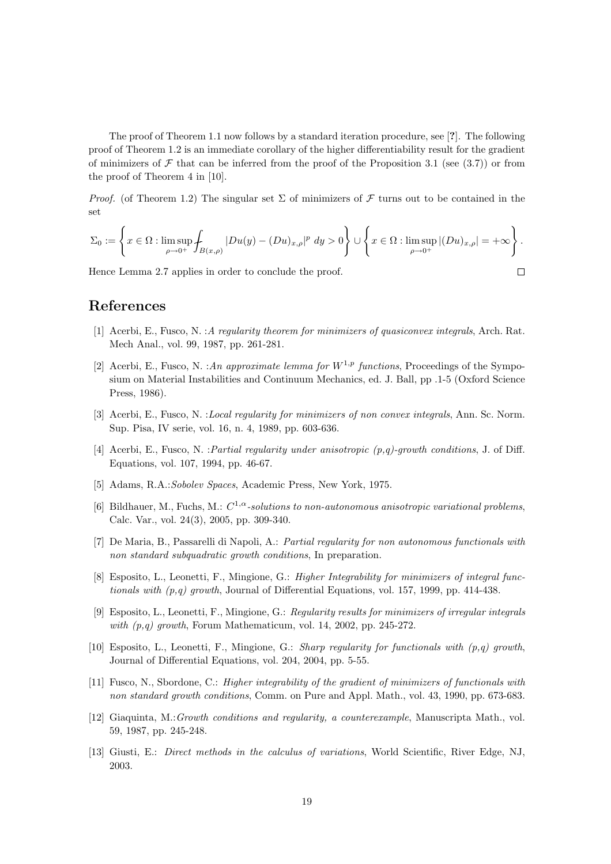The proof of Theorem 1.1 now follows by a standard iteration procedure, see [?]. The following proof of Theorem 1.2 is an immediate corollary of the higher differentiability result for the gradient of minimizers of  $\mathcal F$  that can be inferred from the proof of the Proposition 3.1 (see (3.7)) or from the proof of Theorem 4 in [10].

*Proof.* (of Theorem 1.2) The singular set  $\Sigma$  of minimizers of F turns out to be contained in the set

$$
\Sigma_0:=\left\{x\in\Omega: \limsup_{\rho\to 0^+}\int_{B(x,\rho)}|Du(y)-(Du)_{x,\rho}|^p\ dy>0\right\}\cup\left\{x\in\Omega: \limsup_{\rho\to 0^+}|(Du)_{x,\rho}|=+\infty\right\}.
$$

 $\Box$ 

Hence Lemma 2.7 applies in order to conclude the proof.

# References

- [1] Acerbi, E., Fusco, N. : A regularity theorem for minimizers of quasiconvex integrals, Arch. Rat. Mech Anal., vol. 99, 1987, pp. 261-281.
- [2] Acerbi, E., Fusco, N. : An approximate lemma for  $W^{1,p}$  functions, Proceedings of the Symposium on Material Instabilities and Continuum Mechanics, ed. J. Ball, pp .1-5 (Oxford Science Press, 1986).
- [3] Acerbi, E., Fusco, N. : *Local regularity for minimizers of non convex integrals*, Ann. Sc. Norm. Sup. Pisa, IV serie, vol. 16, n. 4, 1989, pp. 603-636.
- [4] Acerbi, E., Fusco, N. :Partial regularity under anisotropic (p,q)-growth conditions, J. of Diff. Equations, vol. 107, 1994, pp. 46-67.
- [5] Adams, R.A.:Sobolev Spaces, Academic Press, New York, 1975.
- [6] Bildhauer, M., Fuchs, M.:  $C^{1,\alpha}$ -solutions to non-autonomous anisotropic variational problems, Calc. Var., vol. 24(3), 2005, pp. 309-340.
- [7] De Maria, B., Passarelli di Napoli, A.: Partial regularity for non autonomous functionals with non standard subquadratic growth conditions, In preparation.
- [8] Esposito, L., Leonetti, F., Mingione, G.: Higher Integrability for minimizers of integral functionals with  $(p,q)$  growth, Journal of Differential Equations, vol. 157, 1999, pp. 414-438.
- [9] Esposito, L., Leonetti, F., Mingione, G.: Regularity results for minimizers of irregular integrals with  $(p,q)$  growth, Forum Mathematicum, vol. 14, 2002, pp. 245-272.
- [10] Esposito, L., Leonetti, F., Mingione, G.: Sharp regularity for functionals with  $(p,q)$  growth, Journal of Differential Equations, vol. 204, 2004, pp. 5-55.
- [11] Fusco, N., Sbordone, C.: Higher integrability of the gradient of minimizers of functionals with non standard growth conditions, Comm. on Pure and Appl. Math., vol. 43, 1990, pp. 673-683.
- [12] Giaquinta, M.:Growth conditions and regularity, a counterexample, Manuscripta Math., vol. 59, 1987, pp. 245-248.
- [13] Giusti, E.: Direct methods in the calculus of variations, World Scientific, River Edge, NJ, 2003.